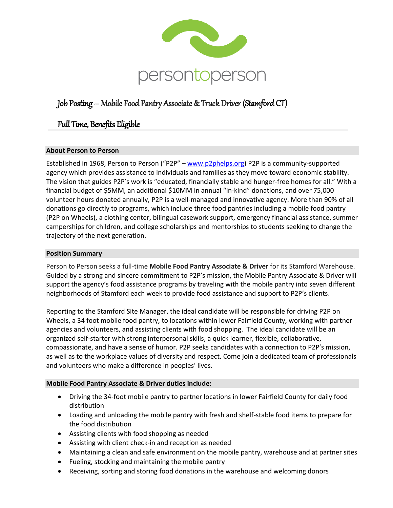

# Job Posting – Mobile Food Pantry Associate & Truck Driver (Stamford CT)

## Full Time, Benefits Eligible

### **About Person to Person**

Established in 1968, Person to Person ("P2P" – [www.p2phelps.org\)](http://www.p2phelps.org/) P2P is a community-supported agency which provides assistance to individuals and families as they move toward economic stability. The vision that guides P2P's work is "educated, financially stable and hunger-free homes for all." With a financial budget of \$5MM, an additional \$10MM in annual "in-kind" donations, and over 75,000 volunteer hours donated annually, P2P is a well-managed and innovative agency. More than 90% of all donations go directly to programs, which include three food pantries including a mobile food pantry (P2P on Wheels), a clothing center, bilingual casework support, emergency financial assistance, summer camperships for children, and college scholarships and mentorships to students seeking to change the trajectory of the next generation.

#### **Position Summary**

Person to Person seeks a full-time **Mobile Food Pantry Associate & Driver** for its Stamford Warehouse. Guided by a strong and sincere commitment to P2P's mission, the Mobile Pantry Associate & Driver will support the agency's food assistance programs by traveling with the mobile pantry into seven different neighborhoods of Stamford each week to provide food assistance and support to P2P's clients.

Reporting to the Stamford Site Manager, the ideal candidate will be responsible for driving P2P on Wheels, a 34 foot mobile food pantry, to locations within lower Fairfield County, working with partner agencies and volunteers, and assisting clients with food shopping. The ideal candidate will be an organized self-starter with strong interpersonal skills, a quick learner, flexible, collaborative, compassionate, and have a sense of humor. P2P seeks candidates with a connection to P2P's mission, as well as to the workplace values of diversity and respect. Come join a dedicated team of professionals and volunteers who make a difference in peoples' lives.

#### **Mobile Food Pantry Associate & Driver duties include:**

- Driving the 34-foot mobile pantry to partner locations in lower Fairfield County for daily food distribution
- Loading and unloading the mobile pantry with fresh and shelf-stable food items to prepare for the food distribution
- Assisting clients with food shopping as needed
- Assisting with client check-in and reception as needed
- Maintaining a clean and safe environment on the mobile pantry, warehouse and at partner sites
- Fueling, stocking and maintaining the mobile pantry
- Receiving, sorting and storing food donations in the warehouse and welcoming donors